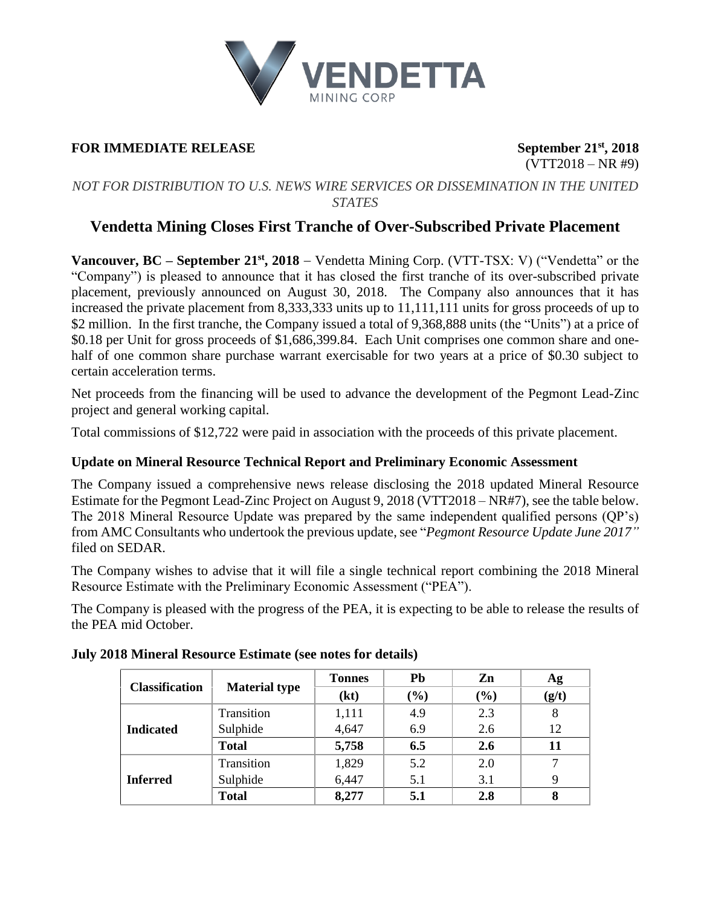

## **FOR IMMEDIATE RELEASE** September 21<sup>st</sup>, 2018

 $(VTT2018 - NR #9)$ 

### *NOT FOR DISTRIBUTION TO U.S. NEWS WIRE SERVICES OR DISSEMINATION IN THE UNITED STATES*

# **Vendetta Mining Closes First Tranche of Over-Subscribed Private Placement**

**Vancouver, BC – September 21 st, 2018** − Vendetta Mining Corp. (VTT-TSX: V) ("Vendetta" or the "Company") is pleased to announce that it has closed the first tranche of its over-subscribed private placement, previously announced on August 30, 2018. The Company also announces that it has increased the private placement from 8,333,333 units up to 11,111,111 units for gross proceeds of up to \$2 million. In the first tranche, the Company issued a total of 9,368,888 units (the "Units") at a price of \$0.18 per Unit for gross proceeds of \$1,686,399.84. Each Unit comprises one common share and onehalf of one common share purchase warrant exercisable for two years at a price of \$0.30 subject to certain acceleration terms.

Net proceeds from the financing will be used to advance the development of the Pegmont Lead-Zinc project and general working capital.

Total commissions of \$12,722 were paid in association with the proceeds of this private placement.

## **Update on Mineral Resource Technical Report and Preliminary Economic Assessment**

The Company issued a comprehensive news release disclosing the 2018 updated Mineral Resource Estimate for the Pegmont Lead-Zinc Project on August 9, 2018 (VTT2018 – NR#7), see the table below. The 2018 Mineral Resource Update was prepared by the same independent qualified persons (QP's) from AMC Consultants who undertook the previous update, see "*Pegmont Resource Update June 2017"* filed on SEDAR.

The Company wishes to advise that it will file a single technical report combining the 2018 Mineral Resource Estimate with the Preliminary Economic Assessment ("PEA").

The Company is pleased with the progress of the PEA, it is expecting to be able to release the results of the PEA mid October.

| <b>Classification</b> | <b>Material type</b> | <b>Tonnes</b> | Pb     | Zn  | Ag    |
|-----------------------|----------------------|---------------|--------|-----|-------|
|                       |                      | (kt)          | $(\%)$ | (%) | (g/t) |
| <b>Indicated</b>      | Transition           | 1,111         | 4.9    | 2.3 | 8     |
|                       | Sulphide             | 4,647         | 6.9    | 2.6 | 12    |
|                       | <b>Total</b>         | 5,758         | 6.5    | 2.6 |       |
| <b>Inferred</b>       | Transition           | 1,829         | 5.2    | 2.0 |       |
|                       | Sulphide             | 6,447         | 5.1    | 3.1 | 9     |
|                       | <b>Total</b>         | 8,277         | 5.1    | 2.8 |       |

#### **July 2018 Mineral Resource Estimate (see notes for details)**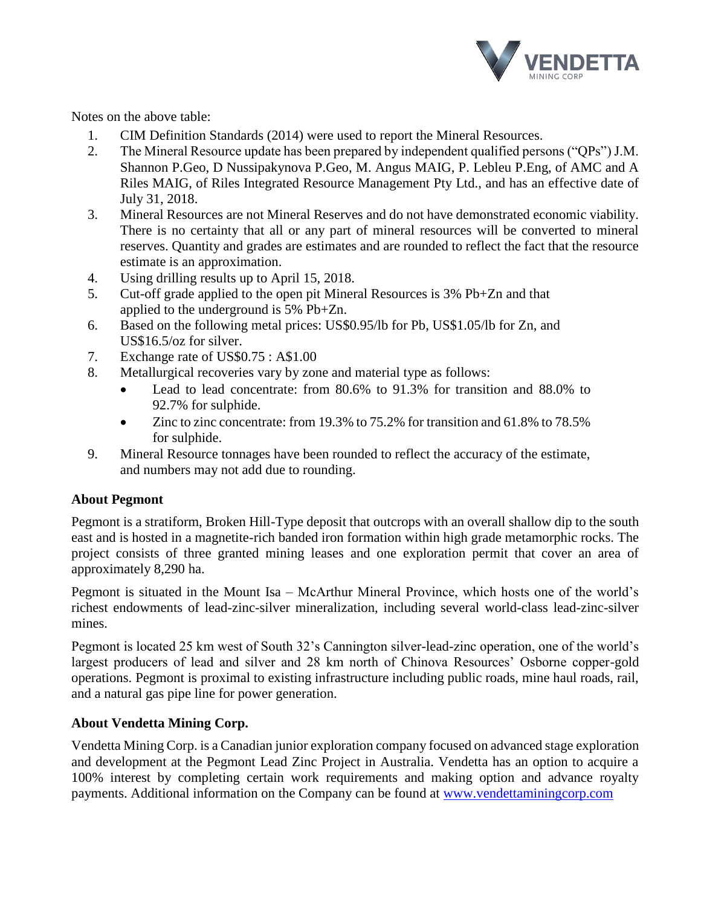

Notes on the above table:

- 1. CIM Definition Standards (2014) were used to report the Mineral Resources.
- 2. The Mineral Resource update has been prepared by independent qualified persons ("QPs") J.M. Shannon P.Geo, D Nussipakynova P.Geo, M. Angus MAIG, P. Lebleu P.Eng, of AMC and A Riles MAIG, of Riles Integrated Resource Management Pty Ltd., and has an effective date of July 31, 2018.
- 3. Mineral Resources are not Mineral Reserves and do not have demonstrated economic viability. There is no certainty that all or any part of mineral resources will be converted to mineral reserves. Quantity and grades are estimates and are rounded to reflect the fact that the resource estimate is an approximation.
- 4. Using drilling results up to April 15, 2018.
- 5. Cut-off grade applied to the open pit Mineral Resources is 3% Pb+Zn and that applied to the underground is 5% Pb+Zn.
- 6. Based on the following metal prices: US\$0.95/lb for Pb, US\$1.05/lb for Zn, and US\$16.5/oz for silver.
- 7. Exchange rate of US\$0.75 : A\$1.00
- 8. Metallurgical recoveries vary by zone and material type as follows:
	- Lead to lead concentrate: from 80.6% to 91.3% for transition and 88.0% to 92.7% for sulphide.
	- Zinc to zinc concentrate: from 19.3% to 75.2% for transition and 61.8% to 78.5% for sulphide.
- 9. Mineral Resource tonnages have been rounded to reflect the accuracy of the estimate, and numbers may not add due to rounding.

## **About Pegmont**

Pegmont is a stratiform, Broken Hill-Type deposit that outcrops with an overall shallow dip to the south east and is hosted in a magnetite-rich banded iron formation within high grade metamorphic rocks. The project consists of three granted mining leases and one exploration permit that cover an area of approximately 8,290 ha.

Pegmont is situated in the Mount Isa – McArthur Mineral Province, which hosts one of the world's richest endowments of lead-zinc-silver mineralization, including several world-class lead-zinc-silver mines.

Pegmont is located 25 km west of South 32's Cannington silver-lead-zinc operation, one of the world's largest producers of lead and silver and 28 km north of Chinova Resources' Osborne copper-gold operations. Pegmont is proximal to existing infrastructure including public roads, mine haul roads, rail, and a natural gas pipe line for power generation.

## **About Vendetta Mining Corp.**

Vendetta Mining Corp. is a Canadian junior exploration company focused on advanced stage exploration and development at the Pegmont Lead Zinc Project in Australia. Vendetta has an option to acquire a 100% interest by completing certain work requirements and making option and advance royalty payments. Additional information on the Company can be found at [www.vendettaminingcorp.com](http://www.vendettaminingcorp.com/)